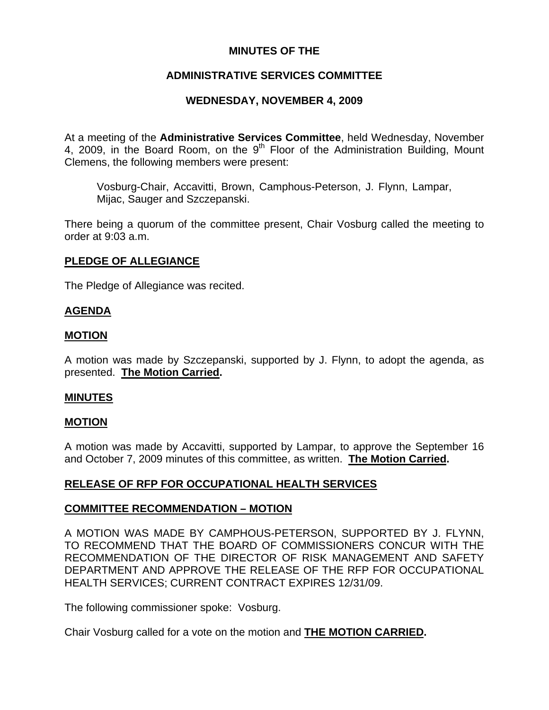## **MINUTES OF THE**

# **ADMINISTRATIVE SERVICES COMMITTEE**

# **WEDNESDAY, NOVEMBER 4, 2009**

At a meeting of the **Administrative Services Committee**, held Wednesday, November 4, 2009, in the Board Room, on the 9<sup>th</sup> Floor of the Administration Building, Mount Clemens, the following members were present:

Vosburg-Chair, Accavitti, Brown, Camphous-Peterson, J. Flynn, Lampar, Mijac, Sauger and Szczepanski.

There being a quorum of the committee present, Chair Vosburg called the meeting to order at 9:03 a.m.

### **PLEDGE OF ALLEGIANCE**

The Pledge of Allegiance was recited.

### **AGENDA**

### **MOTION**

A motion was made by Szczepanski, supported by J. Flynn, to adopt the agenda, as presented. **The Motion Carried.** 

#### **MINUTES**

#### **MOTION**

A motion was made by Accavitti, supported by Lampar, to approve the September 16 and October 7, 2009 minutes of this committee, as written. **The Motion Carried.** 

### **RELEASE OF RFP FOR OCCUPATIONAL HEALTH SERVICES**

### **COMMITTEE RECOMMENDATION – MOTION**

A MOTION WAS MADE BY CAMPHOUS-PETERSON, SUPPORTED BY J. FLYNN, TO RECOMMEND THAT THE BOARD OF COMMISSIONERS CONCUR WITH THE RECOMMENDATION OF THE DIRECTOR OF RISK MANAGEMENT AND SAFETY DEPARTMENT AND APPROVE THE RELEASE OF THE RFP FOR OCCUPATIONAL HEALTH SERVICES; CURRENT CONTRACT EXPIRES 12/31/09.

The following commissioner spoke: Vosburg.

Chair Vosburg called for a vote on the motion and **THE MOTION CARRIED.**